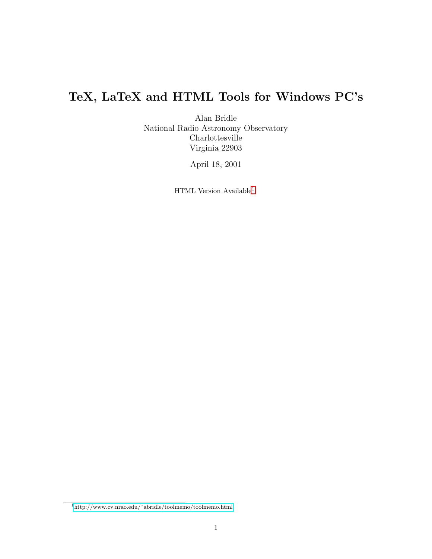# <span id="page-0-1"></span>TeX, LaTeX and HTML Tools for Windows PC's

Alan Bridle National Radio Astronomy Observatory Charlottesville Virginia 22903

April 18, 2001

 $\rm{HTML}$ Version $\rm{Available^1}$  $\rm{Available^1}$  $\rm{Available^1}$ 

<span id="page-0-0"></span><sup>1</sup>[http://www.cv.nrao.edu/˜abridle/toolmemo/toolmemo.html](http://www.cv.nrao.edu/~{}abridle/toolmemo/toolmemo.html)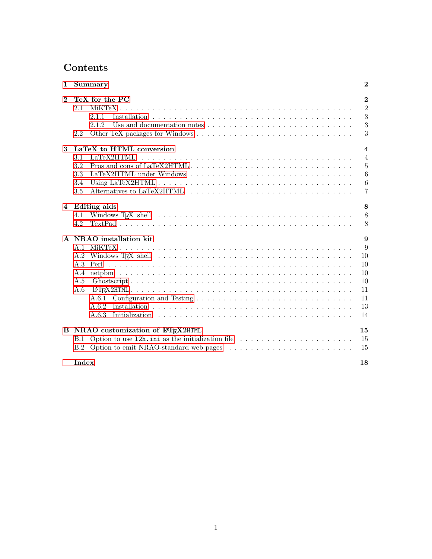# Contents

| 1              | Summary                                                                                                                                                                                                                               | $\mathbf{2}$   |
|----------------|---------------------------------------------------------------------------------------------------------------------------------------------------------------------------------------------------------------------------------------|----------------|
| $\mathbf{2}$   | TeX for the PC                                                                                                                                                                                                                        | $\overline{2}$ |
|                | 2.1                                                                                                                                                                                                                                   | $\overline{2}$ |
|                | 2.1.1                                                                                                                                                                                                                                 | 3              |
|                | 2.1.2<br>Use and documentation notes $\ldots$ , $\ldots$ , $\ldots$ , $\ldots$ , $\ldots$ , $\ldots$ , $\ldots$ , $\ldots$ , $\ldots$                                                                                                 | 3              |
|                | 2.2                                                                                                                                                                                                                                   | 3              |
| 3              | LaTeX to HTML conversion                                                                                                                                                                                                              | $\overline{4}$ |
|                | LaTeX2HTML<br>3.1                                                                                                                                                                                                                     | $\overline{4}$ |
|                | 3.2                                                                                                                                                                                                                                   | $\overline{5}$ |
|                | 3.3                                                                                                                                                                                                                                   | 6              |
|                | 3.4                                                                                                                                                                                                                                   | 6              |
|                | 3.5                                                                                                                                                                                                                                   | $\overline{7}$ |
| $\overline{4}$ | Editing aids                                                                                                                                                                                                                          | 8              |
|                | Windows TEX shell in the contract of the contract of the state of the contract of the contract of the contract of the contract of the contract of the contract of the contract of the contract of the contract of the contract<br>4.1 | 8              |
|                | 4.2                                                                                                                                                                                                                                   | 8              |
|                | A NRAO installation kit                                                                                                                                                                                                               | 9              |
|                | A.1                                                                                                                                                                                                                                   | 9              |
|                | A.2                                                                                                                                                                                                                                   | 10             |
|                | A.3                                                                                                                                                                                                                                   | 10             |
|                | A.4                                                                                                                                                                                                                                   | 10             |
|                | A.5                                                                                                                                                                                                                                   | 10             |
|                | A.6                                                                                                                                                                                                                                   | 11             |
|                |                                                                                                                                                                                                                                       | 11             |
|                | A.6.2                                                                                                                                                                                                                                 | 13             |
|                |                                                                                                                                                                                                                                       | 14             |
|                | B NRAO customization of LATFX2HTML                                                                                                                                                                                                    | 15             |
|                | Option to use $12h \cdot \text{ini}$ as the initialization file $\ldots \ldots \ldots \ldots \ldots \ldots$<br>B.1                                                                                                                    | 15             |
|                | B.2 Option to emit NRAO-standard web pages                                                                                                                                                                                            | 15             |
|                | Index                                                                                                                                                                                                                                 | 18             |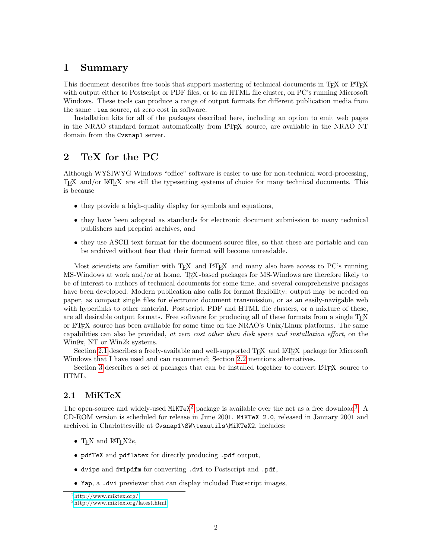# <span id="page-2-5"></span><span id="page-2-0"></span>1 Summary

This document describes free tools that support mastering of technical documents in TEX or LATEX with output either to Postscript or PDF files, or to an HTML file cluster, on PC's running Microsoft Windows. These tools can produce a range of output formats for different publication media from the same .tex source, at zero cost in software.

Installation kits for all of the packages described here, including an option to emit web pages in the NRAO standard format automatically from LATEX source, are available in the NRAO NT domain from the Cvsnap1 server.

# <span id="page-2-1"></span>2 TeX for the PC

Although WYSIWYG Windows "office" software is easier to use for non-technical word-processing, TEX and/or LATEX are still the typesetting systems of choice for many technical documents. This is because

- they provide a high-quality display for symbols and equations,
- they have been adopted as standards for electronic document submission to many technical publishers and preprint archives, and
- they use ASCII text format for the document source files, so that these are portable and can be archived without fear that their format will become unreadable.

Most scientists are familiar with T<sub>EX</sub> and LAT<sub>EX</sub> and many also have access to PC's running MS-Windows at work and/or at home. T<sub>EX</sub>-based packages for MS-Windows are therefore likely to be of interest to authors of technical documents for some time, and several comprehensive packages have been developed. Modern publication also calls for format flexibility: output may be needed on paper, as compact single files for electronic document transmission, or as an easily-navigable web with hyperlinks to other material. Postscript, PDF and HTML file clusters, or a mixture of these, are all desirable output formats. Free software for producing all of these formats from a single T<sub>E</sub>X or LATEX source has been available for some time on the NRAO's Unix/Linux platforms. The same capabilities can also be provided, at zero cost other than disk space and installation effort, on the Win9x, NT or Win2k systems.

Section [2.1](#page-2-2) describes a freely-available and well-supported T<sub>EX</sub> and L<sup>AT</sup>EX package for Microsoft Windows that I have used and can recommend; Section [2.2](#page-3-2) mentions alternatives.

Section [3](#page-4-0) describes a set of packages that can be installed together to convert LATEX source to HTML.

# <span id="page-2-2"></span>2.1 MiKTeX

The open-source and widely-used  $MiKTeX^2$  $MiKTeX^2$  package is available over the net as a free download<sup>[3](#page-2-4)</sup>. A CD-ROM version is scheduled for release in June 2001. MiKTeX 2.0, released in January 2001 and archived in Charlottesville at Cvsnap1\SW\texutils\MiKTeX2, includes:

- T<sub>F</sub>X and  $IAT$ <sub>F</sub>X2*e*,
- pdfTeX and pdflatex for directly producing .pdf output,
- dvips and dvipdfm for converting .dvi to Postscript and .pdf,
- Yap, a .dvi previewer that can display included Postscript images,

<span id="page-2-3"></span><sup>2</sup><http://www.miktex.org/>

<span id="page-2-4"></span><sup>3</sup><http://www.miktex.org/latest.html>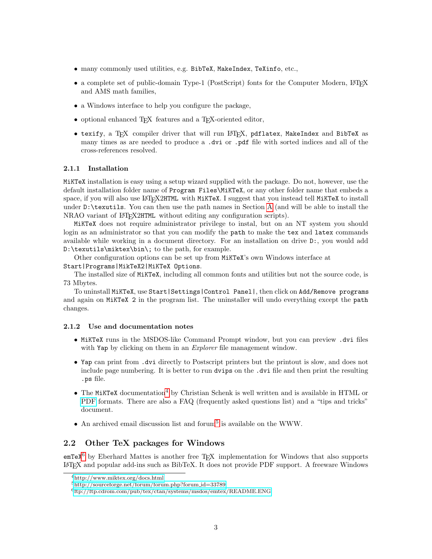- <span id="page-3-6"></span>• many commonly used utilities, e.g. BibTeX, MakeIndex, TeXinfo, etc.,
- a complete set of public-domain Type-1 (PostScript) fonts for the Computer Modern,  $\text{LFT}_{\text{F}}$ X and AMS math families,
- a Windows interface to help you configure the package,
- optional enhanced T<sub>EX</sub> features and a T<sub>EX</sub>-oriented editor,
- texify, a T<sub>EX</sub> compiler driver that will run L<sup>AT</sup>EX, pdflatex, MakeIndex and BibTeX as many times as are needed to produce a .dvi or .pdf file with sorted indices and all of the cross-references resolved.

#### <span id="page-3-0"></span>2.1.1 Installation

MiKTeX installation is easy using a setup wizard supplied with the package. Do not, however, use the default installation folder name of Program Files\MiKTeX, or any other folder name that embeds a space, if you will also use LATEX2HTML with MiKTeX. I suggest that you instead tell MiKTeX to install under  $D$ : \texutils. You can then use the path names in Section [A](#page-9-0) (and will be able to install the NRAO variant of LATEX2HTML without editing any configuration scripts).

MiKTeX does not require administrator privilege to instal, but on an NT system you should login as an administrator so that you can modify the path to make the tex and latex commands available while working in a document directory. For an installation on drive D:, you would add D:\texutils\miktex\bin\; to the path, for example.

Other configuration options can be set up from MiKTeX's own Windows interface at Start|Programs|MikTeX2|MiKTeX Options.

The installed size of MiKTeX, including all common fonts and utilities but not the source code, is 73 Mbytes.

To uninstall MiKTeX, use Start|Settings|Control Panel|, then click on Add/Remove programs and again on MiKTeX 2 in the program list. The uninstaller will undo everything except the path changes.

#### <span id="page-3-1"></span>2.1.2 Use and documentation notes

- MiKTeX runs in the MSDOS-like Command Prompt window, but you can preview .dvi files with Yap by clicking on them in an *Explorer* file management window.
- Yap can print from .dvi directly to Postscript printers but the printout is slow, and does not include page numbering. It is better to run dvips on the .dvi file and then print the resulting .ps file.
- The MiKTeX documentation<sup>[4](#page-3-3)</sup> by Christian Schenk is well written and is available in HTML or [PDF](file:miktexprotect global let unhbox voidb@x kern .06emvbox {hrule width.3em}manual.pdf) formats. There are also a FAQ (frequently asked questions list) and a "tips and tricks" document.
- $\bullet$  An archived email discussion list and forum<sup>[5](#page-3-4)</sup> is available on the WWW.

#### <span id="page-3-2"></span>2.2 Other TeX packages for Windows

 $emT\in X^6$  $emT\in X^6$  by Eberhard Mattes is another free T<sub>EX</sub> implementation for Windows that also supports LATEX and popular add-ins such as BibTeX. It does not provide PDF support. A freeware Windows

<span id="page-3-3"></span><sup>4</sup><http://www.miktex.org/docs.html>

<span id="page-3-4"></span> $5$ [http://sourceforge.net/forum/forum.php?forum](http://sourceforge.net/forum/forum.php?forumprotect global let unhbox voidb@x kern .06emvbox {hrule width.3em}id=33789)\_id=33789

<span id="page-3-5"></span><sup>6</sup> <ftp://ftp.cdrom.com/pub/tex/ctan/systems/msdos/emtex/README.ENG>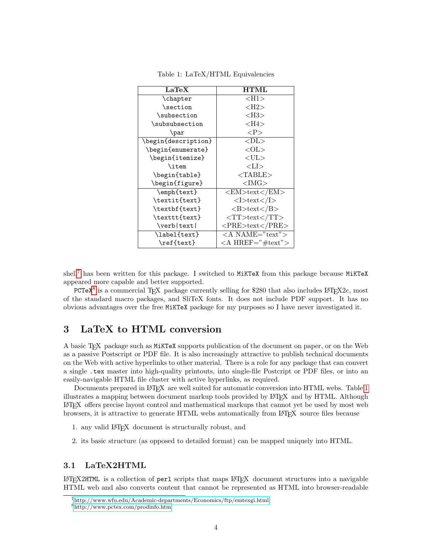<span id="page-4-5"></span>

| <b>LaTeX</b>        | <b>HTML</b>                       |
|---------------------|-----------------------------------|
| \chapter            | $<$ H1 $>$                        |
| \section            | $<$ H2 $>$                        |
| \subsection         | $<$ H3 $>$                        |
| \subsubsection      | $<$ H4 $>$                        |
| \par                | $>$ P $>$                         |
| \begin{description} | $<$ DL $>$                        |
| \begin{enumerate}   | $<$ OL $>$                        |
| \begin{itemize}     | $<$ UL $>$                        |
| \item               | $<$ LI $>$                        |
| \begin{table}       | $<$ TABLE $>$                     |
| \begin{figure}      | $<$ IMG $>$                       |
| \emph{text}         | <em>text</em>                     |
| \textit{text}       | $\langle$ I>text $\langle$ I>     |
| \textbf{text}       | $>B>$ text $<$ /B $>$             |
| \texttt{text}       | $<$ TT>text                       |
| \verb text          | $<$ PRE>text                      |
| \label{text}        | $\langle A \text{ NAME} = "text"$ |
| \ref{text}          | $\langle A$ HREF="#text">         |

<span id="page-4-4"></span>Table 1: LaTeX/HTML Equivalencies

shell<sup>[7](#page-4-2)</sup> has been written for this package. I switched to MiKTeX from this package because MiKTeX appeared more capable and better supported.

PCTeX<sup>[8](#page-4-3)</sup> is a commercial T<sub>E</sub>X package currently selling for \$280 that also includes L<sup>4</sup>T<sub>E</sub>X2*e*, most of the standard macro packages, and SliTeX fonts. It does not include PDF support. It has no obvious advantages over the free MiKTeX package for my purposes so I have never investigated it.

# <span id="page-4-0"></span>3 LaTeX to HTML conversion

A basic TEX package such as MiKTeX supports publication of the document on paper, or on the Web as a passive Postscript or PDF file. It is also increasingly attractive to publish technical documents on the Web with active hyperlinks to other material. There is a role for any package that can convert a single .tex master into high-quality printouts, into single-file Postcript or PDF files, or into an easily-navigable HTML file cluster with active hyperlinks, as required.

Documents prepared in LATEX are well suited for automatic conversion into HTML webs. Table [1](#page-4-4) illustrates a mapping between document markup tools provided by L<sup>AT</sup>FX and by HTML. Although LATEX offers precise layout control and mathematical markups that cannot yet be used by most web browsers, it is attractive to generate HTML webs automatically from LAT<sub>EX</sub> source files because

- 1. any valid LATEX document is structurally robust, and
- 2. its basic structure (as opposed to detailed format) can be mapped uniquely into HTML.

### <span id="page-4-1"></span>3.1 LaTeX2HTML

 $L^2T$ FX2HTML is a collection of perl scripts that maps  $L^2T$ FX document structures into a navigable HTML web and also converts content that cannot be represented as HTML into browser-readable

<span id="page-4-2"></span><sup>7</sup><http://www.wfu.edu/Academic-departments/Economics/ftp/emtexgi.html>

<span id="page-4-3"></span><sup>8</sup><http://www.pctex.com/prodinfo.htm>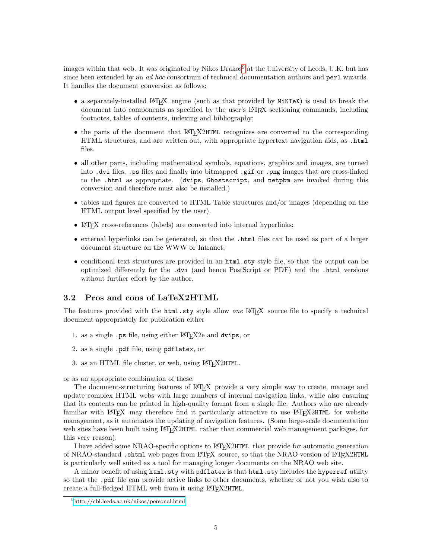<span id="page-5-3"></span>images within that web. It was originated by Nikos Drakos<sup>[9](#page-5-2)</sup> at the University of Leeds, U.K. but has since been extended by an *ad hoc* consortium of technical documentation authors and perl wizards. It handles the document conversion as follows:

- a separately-installed LAT<sub>EX</sub> engine (such as that provided by MiKTeX) is used to break the document into components as specified by the user's LATEX sectioning commands, including footnotes, tables of contents, indexing and bibliography;
- the parts of the document that LAT<sub>E</sub>X2HTML recognizes are converted to the corresponding HTML structures, and are written out, with appropriate hypertext navigation aids, as .html files.
- all other parts, including mathematical symbols, equations, graphics and images, are turned into .dvi files, .ps files and finally into bitmapped .gif or .png images that are cross-linked to the .html as appropriate. (dvips, Ghostscript, and netpbm are invoked during this conversion and therefore must also be installed.)
- tables and figures are converted to HTML Table structures and/or images (depending on the HTML output level specified by the user).
- LAT<sub>EX</sub> cross-references (labels) are converted into internal hyperlinks;
- external hyperlinks can be generated, so that the .html files can be used as part of a larger document structure on the WWW or Intranet;
- conditional text structures are provided in an html.sty style file, so that the output can be optimized differently for the .dvi (and hence PostScript or PDF) and the .html versions without further effort by the author.

### <span id="page-5-0"></span>3.2 Pros and cons of LaTeX2HTML

The features provided with the html.sty style allow one LAT<sub>EX</sub> source file to specify a technical document appropriately for publication either

- 1. as a single  $\cdot$  ps file, using either LAT<sub>E</sub>X2e and dvips, or
- 2. as a single .pdf file, using pdflatex, or
- <span id="page-5-1"></span>3. as an HTML file cluster, or web, using LAT<sub>EX2</sub>HTML.

or as an appropriate combination of these.

The document-structuring features of  $\frac{B}{T}K$  provide a very simple way to create, manage and update complex HTML webs with large numbers of internal navigation links, while also ensuring that its contents can be printed in high-quality format from a single file. Authors who are already familiar with LAT<sub>EX</sub> may therefore find it particularly attractive to use LAT<sub>E</sub>X2HTML for website management, as it automates the updating of navigation features. (Some large-scale documentation web sites have been built using LAT<sub>EX2</sub>HTML rather than commercial web management packages, for this very reason).

I have added some NRAO-specific options to LATEX2HTML that provide for automatic generation of NRAO-standard .shtml web pages from L<sup>AT</sup>EX source, so that the NRAO version of L<sup>AT</sup>EX2HTML is particularly well suited as a tool for managing longer documents on the NRAO web site.

A minor benefit of using html.sty with pdflatex is that html.sty includes the hyperref utility so that the .pdf file can provide active links to other documents, whether or not you wish also to create a full-fledged HTML web from it using LAT<sub>E</sub>X2HTML.

<span id="page-5-2"></span><sup>9</sup><http://cbl.leeds.ac.uk/nikos/personal.html>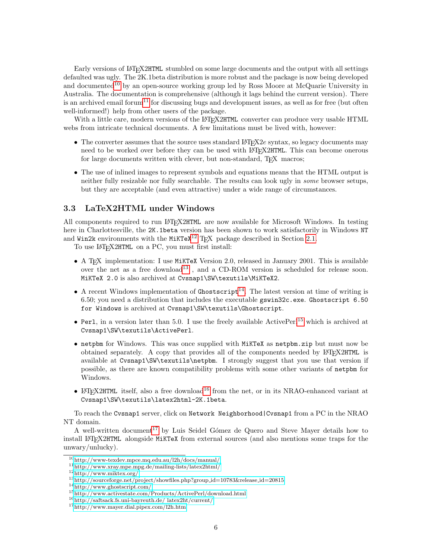<span id="page-6-9"></span>Early versions of L<sup>A</sup>T<sub>E</sub>X2HTML stumbled on some large documents and the output with all settings defaulted was ugly. The 2K.1beta distribution is more robust and the package is now being developed and documented<sup>[10](#page-6-1)</sup> by an open-source working group led by Ross Moore at McQuarie University in Australia. The documentation is comprehensive (although it lags behind the current version). There is an archived email for um<sup>[11](#page-6-2)</sup> for discussing bugs and development issues, as well as for free (but often well-informed!) help from other users of the package.

With a little care, modern versions of the LAT<sub>EX2</sub>HTML converter can produce very usable HTML webs from intricate technical documents. A few limitations must be lived with, however:

- The converter assumes that the source uses standard LAT<sub>E</sub>X2e syntax, so legacy documents may need to be worked over before they can be used with LAT<sub>EX2</sub>HTML. This can become onerous for large documents written with clever, but non-standard, TEX macros;
- The use of inlined images to represent symbols and equations means that the HTML output is neither fully resizable nor fully searchable. The results can look ugly in some browser setups, but they are acceptable (and even attractive) under a wide range of circumstances.

### <span id="page-6-0"></span>3.3 LaTeX2HTML under Windows

All components required to run LAT<sub>E</sub>X2HTML are now available for Microsoft Windows. In testing here in Charlottesville, the 2K.1beta version has been shown to work satisfactorily in Windows NT and Win2k environments with the MiKTeX<sup>[12](#page-6-3)</sup> T<sub>E</sub>X package described in Section [2.1.](#page-2-2)

To use LAT<sub>F</sub>X2HTML on a PC, you must first install:

- A TEX implementation: I use MiKTeX Version 2.0, released in January 2001. This is available over the net as a free download<sup>[13](#page-6-4)</sup>, and a CD-ROM version is scheduled for release soon. MiKTeX 2.0 is also archived at Cvsnap1\SW\texutils\MiKTeX2.
- A recent Windows implementation of Ghostscript<sup>[14](#page-6-5)</sup>. The latest version at time of writing is 6.50; you need a distribution that includes the executable gswin32c.exe. Ghostscript 6.50 for Windows is archived at Cvsnap1\SW\texutils\Ghostscript.
- Perl, in a version later than 5.0. I use the freely available ActivePerl<sup>[15](#page-6-6)</sup> which is archived at Cvsnap1\SW\texutils\ActivePerl.
- netpbm for Windows. This was once supplied with MiKTeX as netpbm.zip but must now be obtained separately. A copy that provides all of the components needed by LAT<sub>E</sub>X2HTML is available at Cvsnap1\SW\texutils\netpbm. I strongly suggest that you use that version if possible, as there are known compatibility problems with some other variants of netpbm for Windows.
- LATEX2HTML itself, also a free download<sup>[16](#page-6-7)</sup> from the net, or in its NRAO-enhanced variant at Cvsnap1\SW\texutils\latex2html-2K.1beta.

To reach the Cvsnap1 server, click on Network Neighborhood|Cvsnap1 from a PC in the NRAO NT domain.

A well-written document<sup>[17](#page-6-8)</sup> by Luis Seidel Gómez de Quero and Steve Mayer details how to install LATEX2HTML alongside MiKTeX from external sources (and also mentions some traps for the unwary/unlucky).

<span id="page-6-1"></span><sup>10</sup><http://www-texdev.mpce.mq.edu.au/l2h/docs/manual/>

<span id="page-6-2"></span> $\rm ^{11}$  <http://www.xray.mpe.mpg.de/mailing-lists/latex2html/>

<span id="page-6-3"></span><sup>12</sup><http://www.miktex.org/>

<span id="page-6-4"></span><sup>13</sup>[http://sourceforge.net/project/showfiles.php?group](http://sourceforge.net/project/showfiles.php?groupprotect unhbox voidb@x kern .06emvbox {hrule width.3em}id=10783&releaseprotect unhbox voidb@x kern .06emvbox {hrule width.3em}id=20815) id=10783&release id=20815

<span id="page-6-5"></span><sup>14</sup><http://www.ghostscript.com/>

<span id="page-6-6"></span> $^{15}{\rm http://www.activestate.com/Products/ActivePerl/download.html}$  $^{15}{\rm http://www.activestate.com/Products/ActivePerl/download.html}$  $^{15}{\rm http://www.activestate.com/Products/ActivePerl/download.html}$ 

<span id="page-6-7"></span><sup>16</sup>[http://saftsack.fs.uni-bayreuth.de/ latex2ht/current/](http://saftsack.fs.uni-bayreuth.de/~latex2ht/current/)

<span id="page-6-8"></span><sup>17</sup><http://www.mayer.dial.pipex.com/l2h.htm>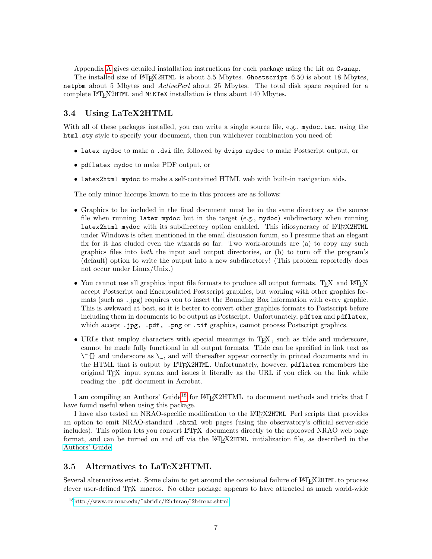<span id="page-7-3"></span>Appendix [A](#page-9-0) gives detailed installation instructions for each package using the kit on Cvsnap. The installed size of LATEX2HTML is about 5.5 Mbytes. Ghostscript 6.50 is about 18 Mbytes, netpbm about 5 Mbytes and ActivePerl about 25 Mbytes. The total disk space required for a complete LAT<sub>E</sub>X2HTML and MiKTeX installation is thus about 140 Mbytes.

# <span id="page-7-0"></span>3.4 Using LaTeX2HTML

With all of these packages installed, you can write a single source file, e.g., mydoc.tex, using the html.sty style to specify your document, then run whichever combination you need of:

- latex mydoc to make a .dvi file, followed by dvips mydoc to make Postscript output, or
- pdflatex mydoc to make PDF output, or
- latex2html mydoc to make a self-contained HTML web with built-in navigation aids.

The only minor hiccups known to me in this process are as follows:

- Graphics to be included in the final document must be in the same directory as the source file when running latex mydoc but in the target (e.g., mydoc) subdirectory when running latex2html mydoc with its subdirectory option enabled. This idiosyncracy of LATEX2HTML under Windows is often mentioned in the email discussion forum, so I presume that an elegant fix for it has eluded even the wizards so far. Two work-arounds are (a) to copy any such graphics files into both the input and output directories, or (b) to turn off the program's (default) option to write the output into a new subdirectory! (This problem reportedly does not occur under Linux/Unix.)
- You cannot use all graphics input file formats to produce all output formats. TFX and L<sup>AT</sup>FX accept Postscript and Encapsulated Postscript graphics, but working with other graphics formats (such as .jpg) requires you to insert the Bounding Box information with every graphic. This is awkward at best, so it is better to convert other graphics formats to Postscript before including them in documents to be output as Postscript. Unfortunately, pdftex and pdflatex, which accept .jpg, .pdf, .png or .tif graphics, cannot process Postscript graphics.
- URLs that employ characters with special meanings in T<sub>E</sub>X, such as tilde and underscore, cannot be made fully functional in all output formats. Tilde can be specified in link text as  $\Upsilon$ {} and underscore as  $\setminus$ , and will thereafter appear correctly in printed documents and in the HTML that is output by LATEX2HTML. Unfortunately, however, pdflatex remembers the original TEX input syntax and issues it literally as the URL if you click on the link while reading the .pdf document in Acrobat.

I am compiling an Authors' Guide<sup>[18](#page-7-2)</sup> for LAT<sub>EX2</sub>HTML to document methods and tricks that I have found useful when using this package.

I have also tested an NRAO-specific modification to the L<sup>AT</sup>EX2HTML Perl scripts that provides an option to emit NRAO-standard .shtml web pages (using the observatory's official server-side includes). This option lets you convert LATEX documents directly to the approved NRAO web page format, and can be turned on and off via the LAT<sub>EX</sub>2HTML initialization file, as described in the [Authors' Guide.](http://www.cv.nrao.edu/~{}abridle/l2h4nrao/l2h4nrao.shtml)

# <span id="page-7-1"></span>3.5 Alternatives to LaTeX2HTML

Several alternatives exist. Some claim to get around the occasional failure of L<sup>AT</sup>FX2HTML to process clever user-defined TEX macros. No other package appears to have attracted as much world-wide

<span id="page-7-2"></span><sup>18</sup>[http://www.cv.nrao.edu/˜abridle/l2h4nrao/l2h4nrao.shtml](http://www.cv.nrao.edu/~{}abridle/l2h4nrao/l2h4nrao.shtml)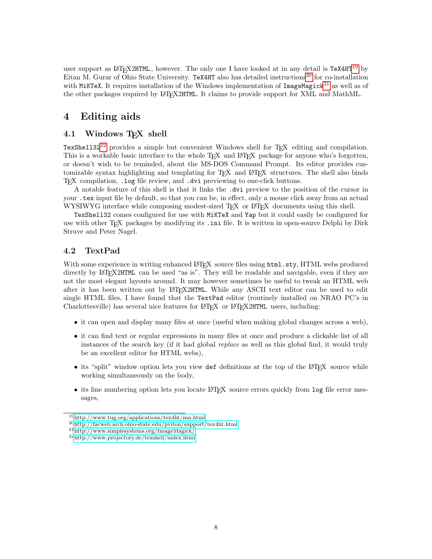<span id="page-8-7"></span>user support as LAT<sub>E</sub>X2HTML, however. The only one I have looked at in any detail is  $T \in X4HT^{19}$  $T \in X4HT^{19}$  $T \in X4HT^{19}$  by Eitan M. Gurar of Ohio State University. TeX4HT also has detailed instructions<sup>[20](#page-8-4)</sup> for co-installation with MiKTeX. It requires installation of the Windows implementation of ImageMagick<sup>[21](#page-8-5)</sup> as well as of the other packages required by L<sup>AT</sup>FX2HTML. It claims to provide support for XML and MathML.

# <span id="page-8-0"></span>4 Editing aids

## <span id="page-8-1"></span>4.1 Windows T<sub>F</sub>X shell

TexShell $32^{22}$  $32^{22}$  $32^{22}$  provides a simple but convenient Windows shell for T<sub>EX</sub> editing and compilation. This is a workable basic interface to the whole T<sub>EX</sub> and L<sup>AT</sup>EX package for anyone who's forgotten, or doesn't wish to be reminded, about the MS-DOS Command Prompt. Its editor provides customizable syntax highlighting and templating for T<sub>EX</sub> and L<sup>A</sup>T<sub>EX</sub> structures. The shell also binds TEX compilation, .log file review, and .dvi previewing to one-click buttons.

A notable feature of this shell is that it links the .dvi preview to the position of the cursor in your .tex input file by default, so that you can be, in effect, only a mouse click away from an actual WYSIWYG interface while composing modest-sized T<sub>EX</sub> or L<sup>AT</sup>EX documents using this shell.

TexShell32 comes configured for use with MiKTeX and Yap but it could easily be configured for use with other T<sub>EX</sub> packages by modifying its . in file. It is written in open-source Delphi by Dirk Struve and Peter Nagel.

# <span id="page-8-2"></span>4.2 TextPad

With some experience in writing enhanced LATEX source files using html.sty, HTML webs produced directly by LAT<sub>E</sub>X2HTML can be used "as is". They will be readable and navigable, even if they are not the most elegant layouts around. It may however sometimes be useful to tweak an HTML web after it has been written out by LATEX2HTML. While any ASCII text editor can be used to edit single HTML files, I have found that the TextPad editor (routinely installed on NRAO PC's in Charlottesville) has several nice features for LATEX or LATEX2HTML users, including:

- it can open and display many files at once (useful when making global changes across a web),
- it can find text or regular expressions in many files at once and produce a clickable list of all instances of the search key (if it had global replace as well as this global find, it would truly be an excellent editor for HTML webs),
- its "split" window option lets you view def definitions at the top of the LAT<sub>EX</sub> source while working simultaneously on the body,
- its line numbering option lets you locate LATEX source errors quickly from  $log$  file error messages,

<span id="page-8-3"></span> $\rm ^{19}http://www.tug.org/applications/tex4ht/min.html$ 

<span id="page-8-4"></span><sup>20</sup><http://facweb.arch.ohio-state.edu/pviton/support/tex4ht.html>

<span id="page-8-5"></span><sup>21</sup><http://www.simplesystems.org/ImageMagick/>

<span id="page-8-6"></span><sup>22</sup><http://www.projectory.de/texshell/index.html>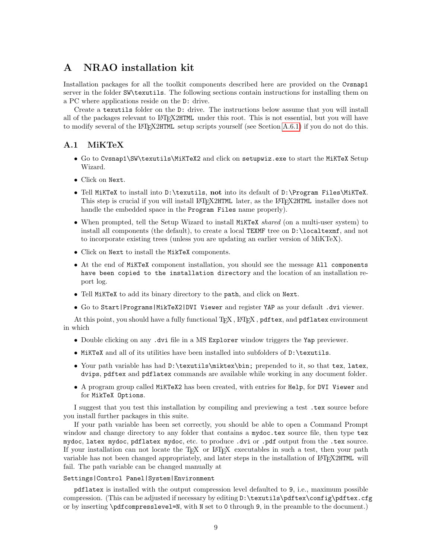# <span id="page-9-2"></span><span id="page-9-0"></span>A NRAO installation kit

Installation packages for all the toolkit components described here are provided on the Cvsnap1 server in the folder SW\texutils. The following sections contain instructions for installing them on a PC where applications reside on the D: drive.

Create a texutils folder on the D: drive. The instructions below assume that you will install all of the packages relevant to LATEX2HTML under this root. This is not essential, but you will have to modify several of the LAT<sub>EX2</sub>HTML setup scripts yourself (see Scetion [A.6.1\)](#page-11-1) if you do not do this.

# <span id="page-9-1"></span>A.1 MiKTeX

- Go to Cvsnap1\SW\texutils\MiKTeX2 and click on setupwiz.exe to start the MiKTeX Setup Wizard.
- Click on Next.
- Tell MiKTeX to install into D:\texutils, not into its default of D:\Program Files\MiKTeX. This step is crucial if you will install LATEX2HTML later, as the LATEX2HTML installer does not handle the embedded space in the Program Files name properly).
- When prompted, tell the Setup Wizard to install MiKTeX shared (on a multi-user system) to install all components (the default), to create a local TEXMF tree on D:\localtexmf, and not to incorporate existing trees (unless you are updating an earlier version of MiKTeX).
- Click on Next to install the MikTeX components.
- At the end of MiKTeX component installation, you should see the message All components have been copied to the installation directory and the location of an installation report log.
- Tell MiKTeX to add its binary directory to the path, and click on Next.
- Go to Start|Programs|MikTeX2|DVI Viewer and register YAP as your default .dvi viewer.

At this point, you should have a fully functional T<sub>E</sub>X, L<sup>AT</sup>E<sub>X</sub>, pdftex, and pdflatex environment in which

- Double clicking on any .dvi file in a MS Explorer window triggers the Yap previewer.
- MiKTeX and all of its utilities have been installed into subfolders of D:\texutils.
- Your path variable has had D:\texutils\miktex\bin; prepended to it, so that tex, latex, dvips, pdftex and pdflatex commands are available while working in any document folder.
- A program group called MiKTeX2 has been created, with entries for Help, for DVI Viewer and for MikTeX Options.

I suggest that you test this installation by compiling and previewing a test .tex source before you install further packages in this suite.

If your path variable has been set correctly, you should be able to open a Command Prompt window and change directory to any folder that contains a mydoc.tex source file, then type tex mydoc, latex mydoc, pdflatex mydoc, etc. to produce .dvi or .pdf output from the .tex source. If your installation can not locate the TEX or L<sup>AT</sup>EX executables in such a test, then your path variable has not been changed appropriately, and later steps in the installation of LATEX2HTML will fail. The path variable can be changed manually at

#### Settings|Control Panel|System|Environment

pdflatex is installed with the output compression level defaulted to 9, i.e., maximum possible compression. (This can be adjusted if necessary by editing D:\texutils\pdftex\config\pdftex.cfg or by inserting \pdfcompresslevel=N, with N set to 0 through 9, in the preamble to the document.)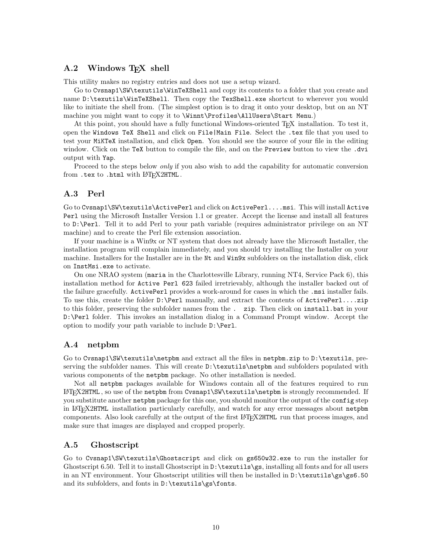# <span id="page-10-4"></span><span id="page-10-0"></span>A.2 Windows T<sub>E</sub>X shell

This utility makes no registry entries and does not use a setup wizard.

Go to Cvsnap1\SW\texutils\WinTeXShell and copy its contents to a folder that you create and name D:\texutils\WinTeXShell. Then copy the TexShell.exe shortcut to wherever you would like to initiate the shell from. (The simplest option is to drag it onto your desktop, but on an NT machine you might want to copy it to \Winnt\Profiles\AllUsers\Start Menu.)

At this point, you should have a fully functional Windows-oriented T<sub>E</sub>X installation. To test it, open the Windows TeX Shell and click on File|Main File. Select the .tex file that you used to test your MiKTeX installation, and click Open. You should see the source of your file in the editing window. Click on the TeX button to compile the file, and on the Preview button to view the .dvi output with Yap.

Proceed to the steps below *only* if you also wish to add the capability for automatic conversion from .tex to .html with LATFX2HTML.

### <span id="page-10-1"></span>A.3 Perl

Go to Cvsnap1\SW\texutils\ActivePerl and click on ActivePerl....msi. This will install Active Perl using the Microsoft Installer Version 1.1 or greater. Accept the license and install all features to D:\Perl. Tell it to add Perl to your path variable (requires administrator privilege on an NT machine) and to create the Perl file extension association.

If your machine is a Win9x or NT system that does not already have the Microsoft Installer, the installation program will complain immediately, and you should try installing the Installer on your machine. Installers for the Installer are in the Nt and Win9x subfolders on the installation disk, click on InstMsi.exe to activate.

On one NRAO system (maria in the Charlottesville Library, running NT4, Service Pack 6), this installation method for Active Perl 623 failed irretrievably, although the installer backed out of the failure gracefully. ActivePerl provides a work-around for cases in which the .msi installer fails. To use this, create the folder D:\Perl manually, and extract the contents of ActivePerl....zip to this folder, preserving the subfolder names from the . zip. Then click on install.bat in your D:\Perl folder. This invokes an installation dialog in a Command Prompt window. Accept the option to modify your path variable to include D:\Perl.

### <span id="page-10-2"></span>A.4 netpbm

Go to Cvsnap1\SW\texutils\netpbm and extract all the files in netpbm.zip to D:\texutils, preserving the subfolder names. This will create D:\texutils\netpbm and subfolders populated with various components of the netpbm package. No other installation is needed.

Not all netpbm packages available for Windows contain all of the features required to run LATEX2HTML , so use of the netpbm from Cvsnap1\SW\texutils\netpbm is strongly recommended. If you substitute another netpbm package for this one, you should monitor the output of the config step in LATEX2HTML installation particularly carefully, and watch for any error messages about netpbm components. Also look carefully at the output of the first LATEX2HTML run that process images, and make sure that images are displayed and cropped properly.

### <span id="page-10-3"></span>A.5 Ghostscript

Go to Cvsnap1\SW\texutils\Ghostscript and click on gs650w32.exe to run the installer for Ghostscript 6.50. Tell it to install Ghostscript in D:\texutils\gs, installing all fonts and for all users in an NT environment. Your Ghostscript utilities will then be installed in D:\texutils\gs\gs6.50 and its subfolders, and fonts in D:\texutils\gs\fonts.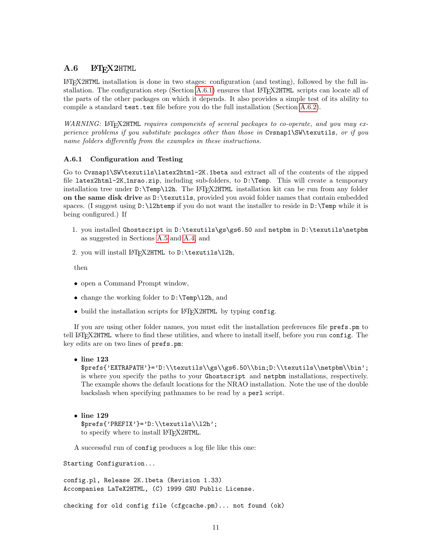# <span id="page-11-4"></span><span id="page-11-0"></span>A.6 LAT<sub>E</sub>X2HTML

LATEX2HTML installation is done in two stages: configuration (and testing), followed by the full in-stallation. The configuration step (Section [A.6.1\)](#page-11-1) ensures that LAT<sub>EX2</sub>HTML scripts can locate all of the parts of the other packages on which it depends. It also provides a simple test of its ability to compile a standard test.tex file before you do the full installation (Section [A.6.2\)](#page-5-1).

WARNING: LATEX2HTML requires components of several packages to co-operate, and you may experience problems if you substitute packages other than those in Cvsnap1\SW\texutils, or if you name folders differently from the examples in these instructions.

### <span id="page-11-1"></span>A.6.1 Configuration and Testing

Go to Cvsnap1\SW\texutils\latex2html-2K.1beta and extract all of the contents of the zipped file latex2html-2K 1nrao.zip, including sub-folders, to D:\Temp. This will create a temporary installation tree under D:\Temp\l2h. The L<sup>AT</sup>EX2HTML installation kit can be run from any folder on the same disk drive as D:\texutils, provided you avoid folder names that contain embedded spaces. (I suggest using  $D:\Delta$  Definition of want the installer to reside in  $D:\Delta$  while it is being configured.) If

- <span id="page-11-2"></span>1. you installed Ghostscript in D:\texutils\gs\gs6.50 and netpbm in D:\texutils\netpbm as suggested in Sections [A.5](#page-10-3) and [A.4,](#page-10-2) and
- <span id="page-11-3"></span>2. you will install LAT<sub>F</sub>X2HTML to D:\texutils\l2h,

then

- open a Command Prompt window,
- change the working folder to D:\Temp\l2h, and
- build the installation scripts for LAT<sub>E</sub>X2HTML by typing config.

If you are using other folder names, you must edit the installation preferences file prefs.pm to tell LATEX2HTML where to find these utilities, and where to install itself, before you run config. The key edits are on two lines of prefs.pm:

• line 123

\$prefs{'EXTRAPATH'}='D:\\texutils\\gs\\gs6.50\\bin;D:\\texutils\\netpbm\\bin'; is where you specify the paths to your Ghostscript and netpbm installations, respectively. The example shows the default locations for the NRAO installation. Note the use of the double backslash when specifying pathnames to be read by a perl script.

• line 129

\$prefs{'PREFIX'}='D:\\texutils\\l2h'; to specify where to install LAT<sub>E</sub>X2HTML.

A successful run of config produces a log file like this one:

Starting Configuration...

config.pl, Release 2K.1beta (Revision 1.33) Accompanies LaTeX2HTML, (C) 1999 GNU Public License.

checking for old config file (cfgcache.pm)... not found (ok)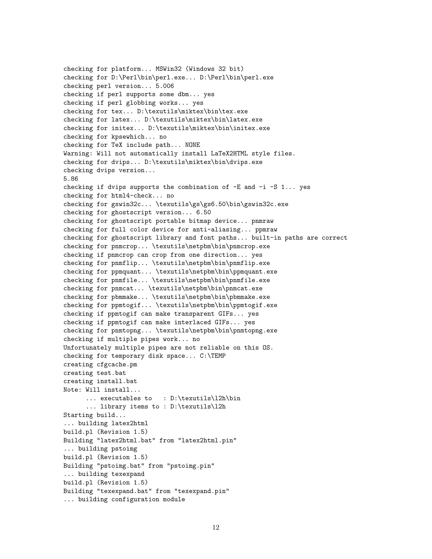```
checking for platform... MSWin32 (Windows 32 bit)
checking for D:\Perl\bin\perl.exe... D:\Perl\bin\perl.exe
checking perl version... 5.006
checking if perl supports some dbm... yes
checking if perl globbing works... yes
checking for tex... D:\texutils\miktex\bin\tex.exe
checking for latex... D:\texutils\miktex\bin\latex.exe
checking for initex... D:\texutils\miktex\bin\initex.exe
checking for kpsewhich... no
checking for TeX include path... NONE
Warning: Will not automatically install LaTeX2HTML style files.
checking for dvips... D:\texutils\miktex\bin\dvips.exe
checking dvips version...
5.86
checking if dvips supports the combination of -E and -i -S 1... yes
checking for html4-check... no
checking for gswin32c... \texutils\gs\gs6.50\bin\gswin32c.exe
checking for ghostscript version... 6.50
checking for ghostscript portable bitmap device... pnmraw
checking for full color device for anti-aliasing... ppmraw
checking for ghostscript library and font paths... built-in paths are correct
checking for pnmcrop... \texutils\netpbm\bin\pnmcrop.exe
checking if pnmcrop can crop from one direction... yes
checking for pnmflip... \texutils\netpbm\bin\pnmflip.exe
checking for ppmquant... \texutils\netpbm\bin\ppmquant.exe
checking for pnmfile... \texutils\netpbm\bin\pnmfile.exe
checking for pnmcat... \texutils\netpbm\bin\pnmcat.exe
checking for pbmmake... \texutils\netpbm\bin\pbmmake.exe
checking for ppmtogif... \texutils\netpbm\bin\ppmtogif.exe
checking if ppmtogif can make transparent GIFs... yes
checking if ppmtogif can make interlaced GIFs... yes
checking for pnmtopng... \texutils\netpbm\bin\pnmtopng.exe
checking if multiple pipes work... no
Unfortunately multiple pipes are not reliable on this OS.
checking for temporary disk space... C:\TEMP
creating cfgcache.pm
creating test.bat
creating install.bat
Note: Will install...
      ... executables to : D:\texutils\l2h\bin
      ... library items to : D:\texutils\l2h
Starting build...
... building latex2html
build.pl (Revision 1.5)
Building "latex2html.bat" from "latex2html.pin"
... building pstoimg
build.pl (Revision 1.5)
Building "pstoimg.bat" from "pstoimg.pin"
... building texexpand
build.pl (Revision 1.5)
Building "texexpand.bat" from "texexpand.pin"
... building configuration module
```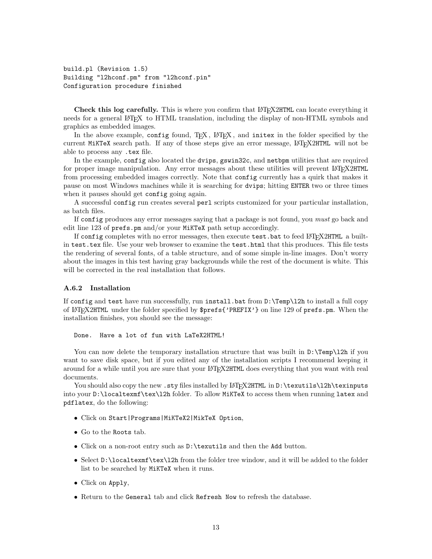```
build.pl (Revision 1.5)
Building "l2hconf.pm" from "l2hconf.pin"
Configuration procedure finished
```
Check this log carefully. This is where you confirm that LAT<sub>EX2</sub>HTML can locate everything it needs for a general L<sup>AT</sup>EX to HTML translation, including the display of non-HTML symbols and graphics as embedded images.

In the above example, config found, TFX, LATEX, and initex in the folder specified by the current MiKTeX search path. If any of those steps give an error message, LAT<sub>E</sub>X2HTML will not be able to process any .tex file.

In the example, config also located the dvips, gswin32c, and netbpm utilities that are required for proper image manipulation. Any error messages about these utilities will prevent LAT<sub>E</sub>X2HTML from processing embedded images correctly. Note that config currently has a quirk that makes it pause on most Windows machines while it is searching for dvips; hitting ENTER two or three times when it pauses should get config going again.

A successful config run creates several perl scripts customized for your particular installation, as batch files.

If config produces any error messages saying that a package is not found, you must go back and edit line 123 of prefs.pm and/or your MiKTeX path setup accordingly.

If config completes with no error messages, then execute test.bat to feed LATFX2HTML a builtin test.tex file. Use your web browser to examine the test.html that this produces. This file tests the rendering of several fonts, of a table structure, and of some simple in-line images. Don't worry about the images in this test having gray backgrounds while the rest of the document is white. This will be corrected in the real installation that follows.

#### A.6.2 Installation

If config and test have run successfully, run install.bat from D:\Temp\l2h to install a full copy of LATEX2HTML under the folder specified by \$prefs{'PREFIX'} on line 129 of prefs.pm. When the installation finishes, you should see the message:

Done. Have a lot of fun with LaTeX2HTML!

You can now delete the temporary installation structure that was built in D:\Temp\l2h if you want to save disk space, but if you edited any of the installation scripts I recommend keeping it around for a while until you are sure that your LATEX2HTML does everything that you want with real documents.

You should also copy the new .sty files installed by LATEX2HTML in D:\texutils\l2h\texinputs into your D:\localtexmf\tex\l2h folder. To allow MiKTeX to access them when running latex and pdflatex, do the following:

- Click on Start|Programs|MiKTeX2|MikTeX Option,
- Go to the Roots tab.
- Click on a non-root entry such as D:\texutils and then the Add button.
- Select D:\localtexmf\tex\l2h from the folder tree window, and it will be added to the folder list to be searched by MiKTeX when it runs.
- Click on Apply,
- Return to the General tab and click Refresh Now to refresh the database.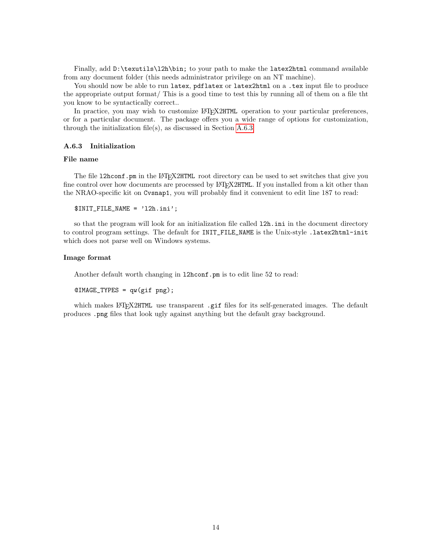<span id="page-14-0"></span>Finally, add D:\texutils\l2h\bin; to your path to make the latex2html command available from any document folder (this needs administrator privilege on an NT machine).

You should now be able to run latex, pdflatex or latex2html on a .tex input file to produce the appropriate output format/ This is a good time to test this by running all of them on a file tht you know to be syntactically correct..

In practice, you may wish to customize LAT<sub>E</sub>X2HTML operation to your particular preferences, or for a particular document. The package offers you a wide range of options for customization, through the initialization file(s), as discussed in Section [A.6.3](#page-11-2)

#### A.6.3 Initialization

#### File name

The file 12hconf.pm in the LATEX2HTML root directory can be used to set switches that give you fine control over how documents are processed by LATEX2HTML. If you installed from a kit other than the NRAO-specific kit on Cvsnap1, you will probably find it convenient to edit line 187 to read:

\$INIT\_FILE\_NAME = 'l2h.ini';

so that the program will look for an initialization file called  $12h$ . in in the document directory to control program settings. The default for INIT\_FILE\_NAME is the Unix-style .latex2html-init which does not parse well on Windows systems.

#### Image format

Another default worth changing in l2hconf.pm is to edit line 52 to read:

```
@IMAGE_TYPES = qw(gif png);
```
which makes LATEX2HTML use transparent .gif files for its self-generated images. The default produces .png files that look ugly against anything but the default gray background.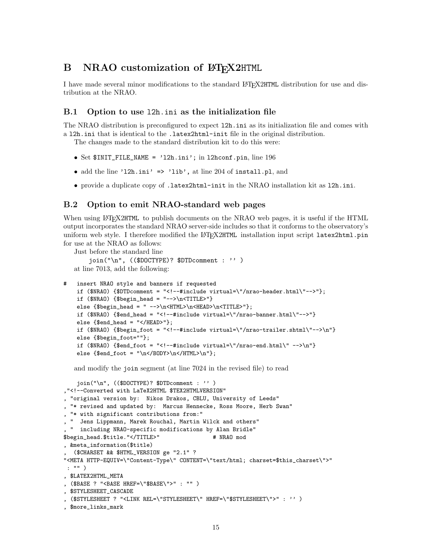# <span id="page-15-0"></span>B NRAO customization of LAT<sub>EX2</sub>HTML

I have made several minor modifications to the standard LATEX2HTML distribution for use and distribution at the NRAO.

# B.1 Option to use l2h.ini as the initialization file

The NRAO distribution is preconfigured to expect l2h.ini as its initialization file and comes with a l2h.ini that is identical to the .latex2html-init file in the original distribution.

The changes made to the standard distribution kit to do this were:

- Set \$INIT\_FILE\_NAME = 'l2h.ini'; in l2hconf.pin, line 196
- add the line 'l2h.ini' => 'lib', at line 204 of install.pl, and
- provide a duplicate copy of .latex2html-init in the NRAO installation kit as l2h.ini.

### B.2 Option to emit NRAO-standard web pages

When using LAT<sub>EX2</sub>HTML to publish documents on the NRAO web pages, it is useful if the HTML output incorporates the standard NRAO server-side includes so that it conforms to the observatory's uniform web style. I therefore modified the LAT<sub>E</sub>X2HTML installation input script latex2html.pin for use at the NRAO as follows:

Just before the standard line

```
join("\n", (($DOCTYPE)? $DTDcomment : '' )
at line 7013, add the following:
```

```
insert NRAO style and banners if requested
 if ($NRAO) {$DTDcomment = "<!--#include virtual=\"/nrao-header.html\"-->"};
 if ($NRAO) {$begin_head = "-->\n<TITLE>"}
 else {$begin_head = " -->\n<HTML>\n<HEAD>\n<TITLE>"};
 if ($NRAO) {$end_head = "<!--#include virtual=\"/nrao-banner.html\"-->"}
 else {$end_head = "</HEAD>"};
 if ($NRAO) {$begin_foot = "<!--#include virtual=\"/nrao-trailer.shtml\"-->\n"}
 else {$begin_foot=""};
 if ($NRAO) {$end_foot = "<!--#include virtual=\"/nrao-end.html\" -->\n"}
 else {$end_foot = "\n</BODY>\n</HTML>\n"};
```
and modify the join segment (at line 7024 in the revised file) to read

```
join("\n", (($DOCTYPE)? $DTDcomment : '' )
,"<!--Converted with LaTeX2HTML $TEX2HTMLVERSION"
 "original version by: Nikos Drakos, CBLU, University of Leeds"
 "* revised and updated by: Marcus Hennecke, Ross Moore, Herb Swan"
 "* with significant contributions from:"
 " Jens Lippmann, Marek Rouchal, Martin Wilck and others"
 " including NRAO-specific modifications by Alan Bridle"
$begin_head.$title."</TITLE>" # NRAO mod
, &meta_information($title)
  , ($CHARSET && $HTML_VERSION ge "2.1" ?
"<META HTTP-EQUIV=\"Content-Type\" CONTENT=\"text/html; charset=$this_charset\">"
: "" )
, $LATEX2HTML_META
, ($BASE ? "<BASE HREF=\"$BASE\">" : "" )
, $STYLESHEET_CASCADE
, ($STYLESHEET ? "<LINK REL=\"STYLESHEET\" HREF=\"$STYLESHEET\">" : '' )
, $more_links_mark
```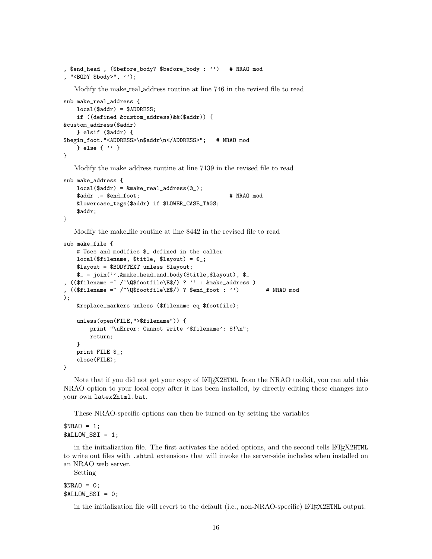```
, $end_head , ($before_body? $before_body : '') # NRAO mod
, "<BODY $body>", '');
```
Modify the make real address routine at line 746 in the revised file to read

```
sub make_real_address {
   local($addr) = $ADDRESS;
   if ((defined &custom_address)&&($addr)) {
&custom_address($addr)
   } elsif ($addr) {
$begin_foot."<ADDRESS>\n$addr\n</ADDRESS>"; # NRAO mod
   } else { '' }
}
```
Modify the make address routine at line 7139 in the revised file to read

```
sub make_address {
   local(\$addr) = \&make\_real\_address(@_);$addr .= $end_foot; # NRAO mod
   &lowercase_tags($addr) if $LOWER_CASE_TAGS;
   $addr;
}
```
Modify the make file routine at line 8442 in the revised file to read

```
sub make_file {
    # Uses and modifies $_ defined in the caller
    local($filename, $title, $layout) = @;
    $layout = $BODYTEXT unless $layout;
    $_ = join('',&make_head_and_body($title,$layout), $_
, (($filename =^ ' /^\Q$footfile\E~/) ? '': %make\_address ), (($filename =~ /^\Q$footfile\E$/) ? $end_foot : '') \qquad # NRAO mod
);
    &replace_markers unless ($filename eq $footfile);
    unless(open(FILE,">$filename")) {
       print "\nError: Cannot write '$filename': $!\n";
       return;
    }
    print FILE $_;
    close(FILE);
}
```
Note that if you did not get your copy of LATEX2HTML from the NRAO toolkit, you can add this NRAO option to your local copy after it has been installed, by directly editing these changes into your own latex2html.bat.

These NRAO-specific options can then be turned on by setting the variables

### $$NRAO = 1;$ \$ALLOW\_SSI = 1;

in the initialization file. The first activates the added options, and the second tells LATEX2HTML to write out files with .shtml extensions that will invoke the server-side includes when installed on an NRAO web server.

Setting

### $$NRAO = 0;$ \$ALLOW\_SSI = 0;

in the initialization file will revert to the default (i.e., non-NRAO-specific) LAT<sub>EX</sub>2HTML output.